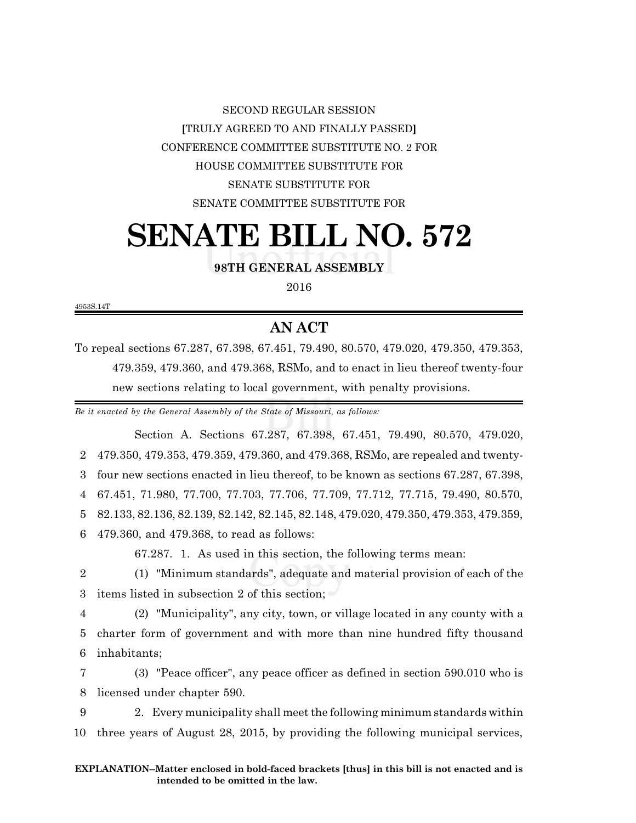## SECOND REGULAR SESSION **[**TRULY AGREED TO AND FINALLY PASSED**]** CONFERENCE COMMITTEE SUBSTITUTE NO. 2 FOR HOUSE COMMITTEE SUBSTITUTE FOR SENATE SUBSTITUTE FOR SENATE COMMITTEE SUBSTITUTE FOR

# **SENATE BILL NO. 572**

**98TH GENERAL ASSEMBLY**

2016

4953S.14T

## **AN ACT**

To repeal sections 67.287, 67.398, 67.451, 79.490, 80.570, 479.020, 479.350, 479.353, 479.359, 479.360, and 479.368, RSMo, and to enact in lieu thereof twenty-four new sections relating to local government, with penalty provisions.

*Be it enacted by the General Assembly of the State of Missouri, as follows:*

Section A. Sections 67.287, 67.398, 67.451, 79.490, 80.570, 479.020, 479.350, 479.353, 479.359, 479.360, and 479.368, RSMo, are repealed and twenty- four new sections enacted in lieu thereof, to be known as sections 67.287, 67.398, 67.451, 71.980, 77.700, 77.703, 77.706, 77.709, 77.712, 77.715, 79.490, 80.570, 82.133, 82.136, 82.139, 82.142, 82.145, 82.148, 479.020, 479.350, 479.353, 479.359, 479.360, and 479.368, to read as follows: 67.287. 1. As used in this section, the following terms mean: (1) "Minimum standards", adequate and material provision of each of the

3 items listed in subsection 2 of this section;

4 (2) "Municipality", any city, town, or village located in any county with a 5 charter form of government and with more than nine hundred fifty thousand 6 inhabitants;

7 (3) "Peace officer", any peace officer as defined in section 590.010 who is 8 licensed under chapter 590.

9 2. Every municipality shall meet the following minimum standards within 10 three years of August 28, 2015, by providing the following municipal services,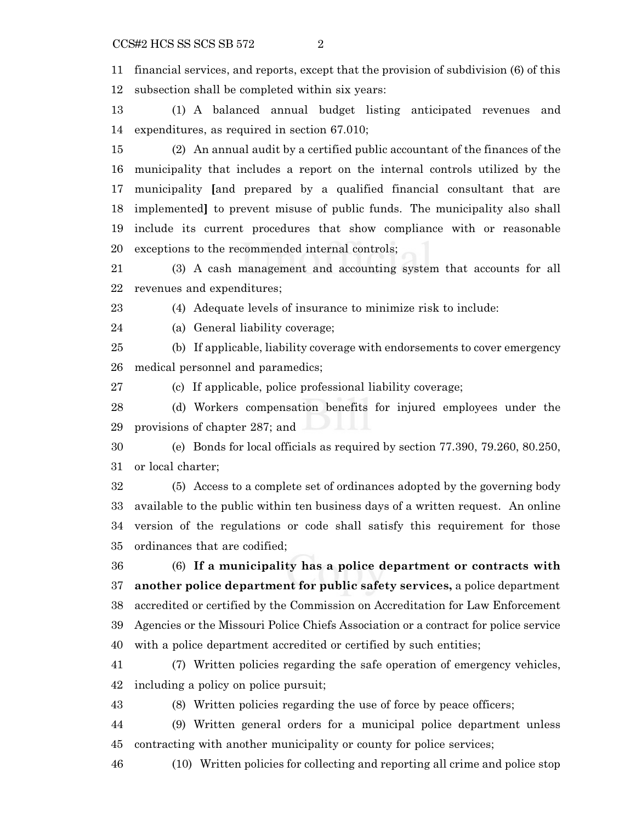financial services, and reports, except that the provision of subdivision (6) of this subsection shall be completed within six years:

 (1) A balanced annual budget listing anticipated revenues and expenditures, as required in section 67.010;

 (2) An annual audit by a certified public accountant of the finances of the municipality that includes a report on the internal controls utilized by the municipality **[**and prepared by a qualified financial consultant that are implemented**]** to prevent misuse of public funds. The municipality also shall include its current procedures that show compliance with or reasonable exceptions to the recommended internal controls;

 (3) A cash management and accounting system that accounts for all revenues and expenditures;

(4) Adequate levels of insurance to minimize risk to include:

(a) General liability coverage;

 (b) If applicable, liability coverage with endorsements to cover emergency medical personnel and paramedics;

(c) If applicable, police professional liability coverage;

 (d) Workers compensation benefits for injured employees under the provisions of chapter 287; and

 (e) Bonds for local officials as required by section 77.390, 79.260, 80.250, or local charter;

 (5) Access to a complete set of ordinances adopted by the governing body available to the public within ten business days of a written request. An online version of the regulations or code shall satisfy this requirement for those ordinances that are codified;

 (6) **If a municipality has a police department or contracts with another police department for public safety services,** a police department accredited or certified by the Commission on Accreditation for Law Enforcement Agencies or the Missouri Police Chiefs Association or a contract for police service with a police department accredited or certified by such entities;

 (7) Written policies regarding the safe operation of emergency vehicles, including a policy on police pursuit;

(8) Written policies regarding the use of force by peace officers;

 (9) Written general orders for a municipal police department unless contracting with another municipality or county for police services;

(10) Written policies for collecting and reporting all crime and police stop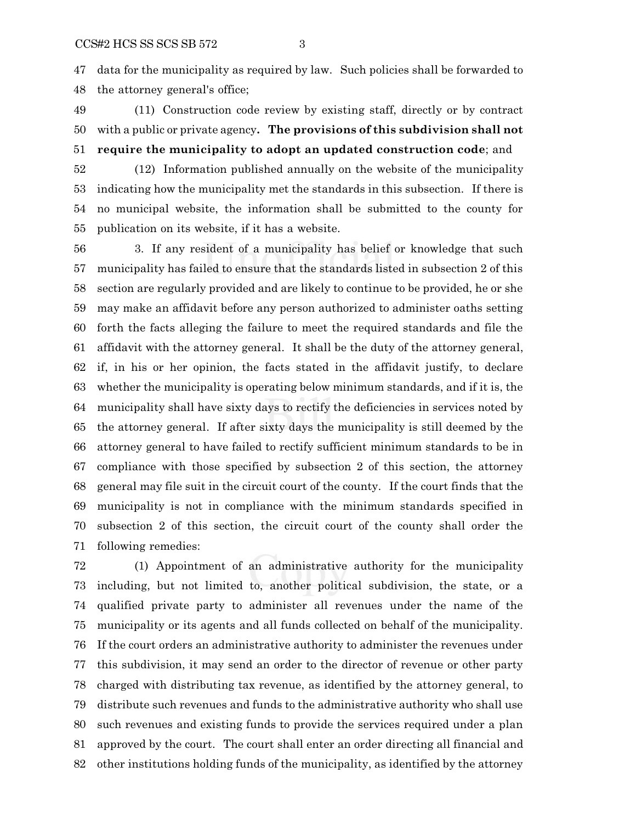data for the municipality as required by law. Such policies shall be forwarded to the attorney general's office;

- (11) Construction code review by existing staff, directly or by contract with a public or private agency**. The provisions of this subdivision shall not require the municipality to adopt an updated construction code**; and
- (12) Information published annually on the website of the municipality indicating how the municipality met the standards in this subsection. If there is no municipal website, the information shall be submitted to the county for publication on its website, if it has a website.

 3. If any resident of a municipality has belief or knowledge that such municipality has failed to ensure that the standards listed in subsection 2 of this section are regularly provided and are likely to continue to be provided, he or she may make an affidavit before any person authorized to administer oaths setting forth the facts alleging the failure to meet the required standards and file the affidavit with the attorney general. It shall be the duty of the attorney general, if, in his or her opinion, the facts stated in the affidavit justify, to declare whether the municipality is operating below minimum standards, and if it is, the municipality shall have sixty days to rectify the deficiencies in services noted by the attorney general. If after sixty days the municipality is still deemed by the attorney general to have failed to rectify sufficient minimum standards to be in compliance with those specified by subsection 2 of this section, the attorney general may file suit in the circuit court of the county. If the court finds that the municipality is not in compliance with the minimum standards specified in subsection 2 of this section, the circuit court of the county shall order the following remedies:

 (1) Appointment of an administrative authority for the municipality including, but not limited to, another political subdivision, the state, or a qualified private party to administer all revenues under the name of the municipality or its agents and all funds collected on behalf of the municipality. If the court orders an administrative authority to administer the revenues under this subdivision, it may send an order to the director of revenue or other party charged with distributing tax revenue, as identified by the attorney general, to distribute such revenues and funds to the administrative authority who shall use such revenues and existing funds to provide the services required under a plan approved by the court. The court shall enter an order directing all financial and other institutions holding funds of the municipality, as identified by the attorney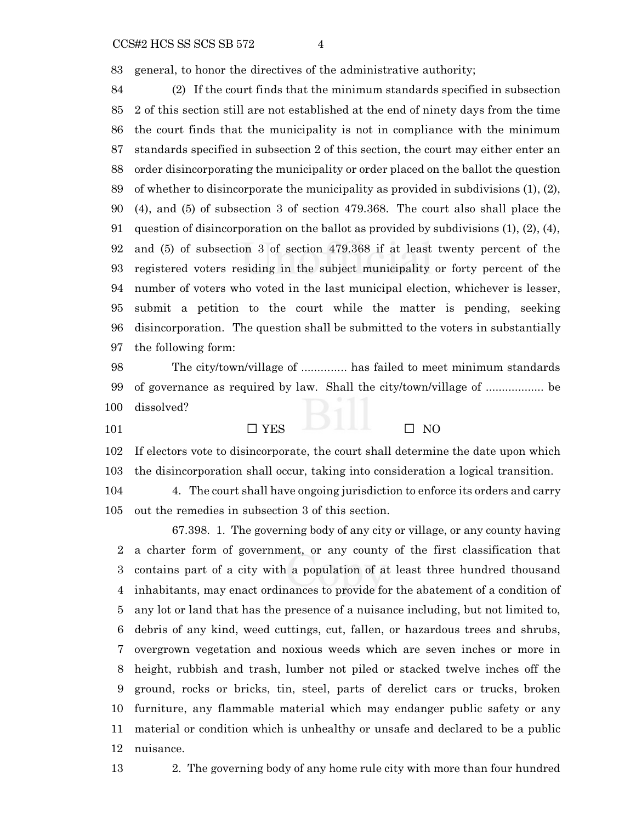general, to honor the directives of the administrative authority;

 (2) If the court finds that the minimum standards specified in subsection 2 of this section still are not established at the end of ninety days from the time the court finds that the municipality is not in compliance with the minimum standards specified in subsection 2 of this section, the court may either enter an order disincorporating the municipality or order placed on the ballot the question of whether to disincorporate the municipality as provided in subdivisions (1), (2), (4), and (5) of subsection 3 of section 479.368. The court also shall place the 91 question of disincorporation on the ballot as provided by subdivisions  $(1)$ ,  $(2)$ ,  $(4)$ , and (5) of subsection 3 of section 479.368 if at least twenty percent of the registered voters residing in the subject municipality or forty percent of the number of voters who voted in the last municipal election, whichever is lesser, submit a petition to the court while the matter is pending, seeking disincorporation. The question shall be submitted to the voters in substantially the following form:

 The city/town/village of .............. has failed to meet minimum standards of governance as required by law. Shall the city/town/village of .................. be dissolved?

 $\Box$  YES  $\Box$  NO

 If electors vote to disincorporate, the court shall determine the date upon which the disincorporation shall occur, taking into consideration a logical transition.

 4. The court shall have ongoing jurisdiction to enforce its orders and carry out the remedies in subsection 3 of this section.

67.398. 1. The governing body of any city or village, or any county having a charter form of government, or any county of the first classification that contains part of a city with a population of at least three hundred thousand inhabitants, may enact ordinances to provide for the abatement of a condition of any lot or land that has the presence of a nuisance including, but not limited to, debris of any kind, weed cuttings, cut, fallen, or hazardous trees and shrubs, overgrown vegetation and noxious weeds which are seven inches or more in height, rubbish and trash, lumber not piled or stacked twelve inches off the ground, rocks or bricks, tin, steel, parts of derelict cars or trucks, broken furniture, any flammable material which may endanger public safety or any material or condition which is unhealthy or unsafe and declared to be a public nuisance.

2. The governing body of any home rule city with more than four hundred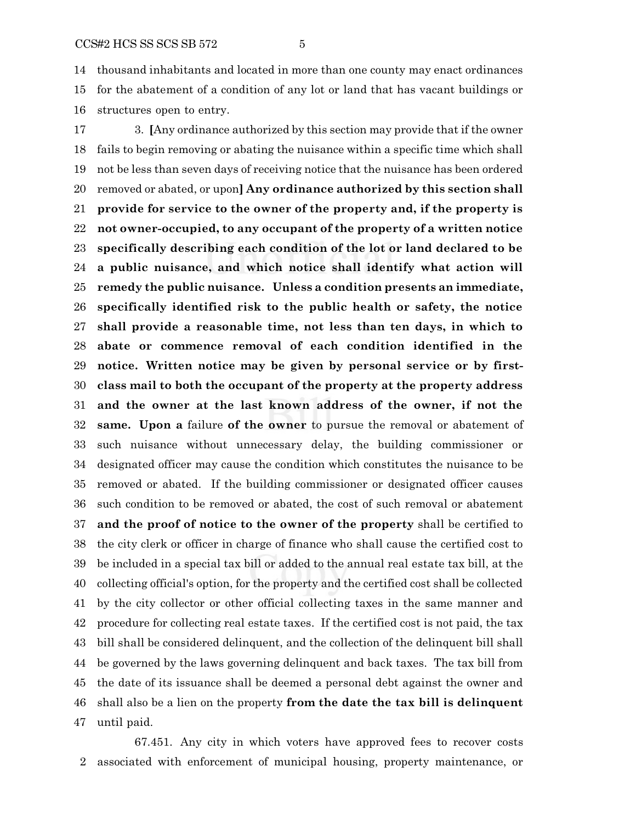thousand inhabitants and located in more than one county may enact ordinances for the abatement of a condition of any lot or land that has vacant buildings or structures open to entry.

 3. **[**Any ordinance authorized by this section may provide that if the owner fails to begin removing or abating the nuisance within a specific time which shall not be less than seven days of receiving notice that the nuisance has been ordered removed or abated, or upon**] Any ordinance authorized by this section shall provide for service to the owner of the property and, if the property is not owner-occupied, to any occupant of the property of a written notice specifically describing each condition of the lot or land declared to be a public nuisance, and which notice shall identify what action will remedy the public nuisance. Unless a condition presents an immediate, specifically identified risk to the public health or safety, the notice shall provide a reasonable time, not less than ten days, in which to abate or commence removal of each condition identified in the notice. Written notice may be given by personal service or by first- class mail to both the occupant of the property at the property address and the owner at the last known address of the owner, if not the same. Upon a** failure **of the owner** to pursue the removal or abatement of such nuisance without unnecessary delay, the building commissioner or designated officer may cause the condition which constitutes the nuisance to be removed or abated. If the building commissioner or designated officer causes such condition to be removed or abated, the cost of such removal or abatement **and the proof of notice to the owner of the property** shall be certified to the city clerk or officer in charge of finance who shall cause the certified cost to be included in a special tax bill or added to the annual real estate tax bill, at the collecting official's option, for the property and the certified cost shall be collected by the city collector or other official collecting taxes in the same manner and procedure for collecting real estate taxes. If the certified cost is not paid, the tax bill shall be considered delinquent, and the collection of the delinquent bill shall be governed by the laws governing delinquent and back taxes. The tax bill from the date of its issuance shall be deemed a personal debt against the owner and shall also be a lien on the property **from the date the tax bill is delinquent** until paid.

67.451. Any city in which voters have approved fees to recover costs associated with enforcement of municipal housing, property maintenance, or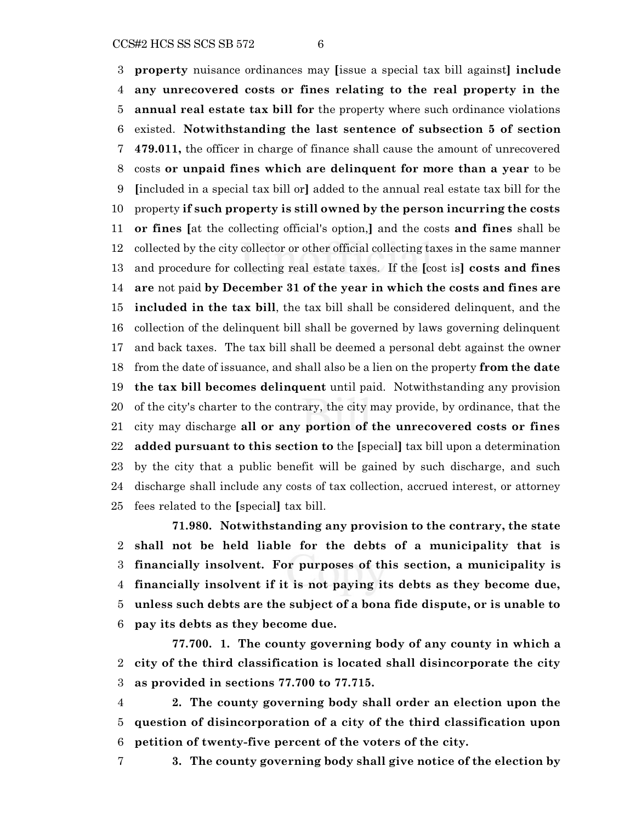$CCSH2 HCS SS SCS SB 572$  6

 **property** nuisance ordinances may **[**issue a special tax bill against**] include any unrecovered costs or fines relating to the real property in the annual real estate tax bill for** the property where such ordinance violations existed. **Notwithstanding the last sentence of subsection 5 of section 479.011,** the officer in charge of finance shall cause the amount of unrecovered costs **or unpaid fines which are delinquent for more than a year** to be **[**included in a special tax bill or**]** added to the annual real estate tax bill for the property **if such property is still owned by the person incurring the costs or fines [**at the collecting official's option,**]** and the costs **and fines** shall be collected by the city collector or other official collecting taxes in the same manner and procedure for collecting real estate taxes. If the **[**cost is**] costs and fines are** not paid **by December 31 of the year in which the costs and fines are included in the tax bill**, the tax bill shall be considered delinquent, and the collection of the delinquent bill shall be governed by laws governing delinquent and back taxes. The tax bill shall be deemed a personal debt against the owner from the date of issuance, and shall also be a lien on the property **from the date the tax bill becomes delinquent** until paid. Notwithstanding any provision of the city's charter to the contrary, the city may provide, by ordinance, that the city may discharge **all or any portion of the unrecovered costs or fines added pursuant to this section to** the **[**special**]** tax bill upon a determination by the city that a public benefit will be gained by such discharge, and such discharge shall include any costs of tax collection, accrued interest, or attorney fees related to the **[**special**]** tax bill.

**71.980. Notwithstanding any provision to the contrary, the state shall not be held liable for the debts of a municipality that is financially insolvent. For purposes of this section, a municipality is financially insolvent if it is not paying its debts as they become due, unless such debts are the subject of a bona fide dispute, or is unable to pay its debts as they become due.**

**77.700. 1. The county governing body of any county in which a city of the third classification is located shall disincorporate the city as provided in sections 77.700 to 77.715.**

 **2. The county governing body shall order an election upon the question of disincorporation of a city of the third classification upon petition of twenty-five percent of the voters of the city.**

- 
- **3. The county governing body shall give notice of the election by**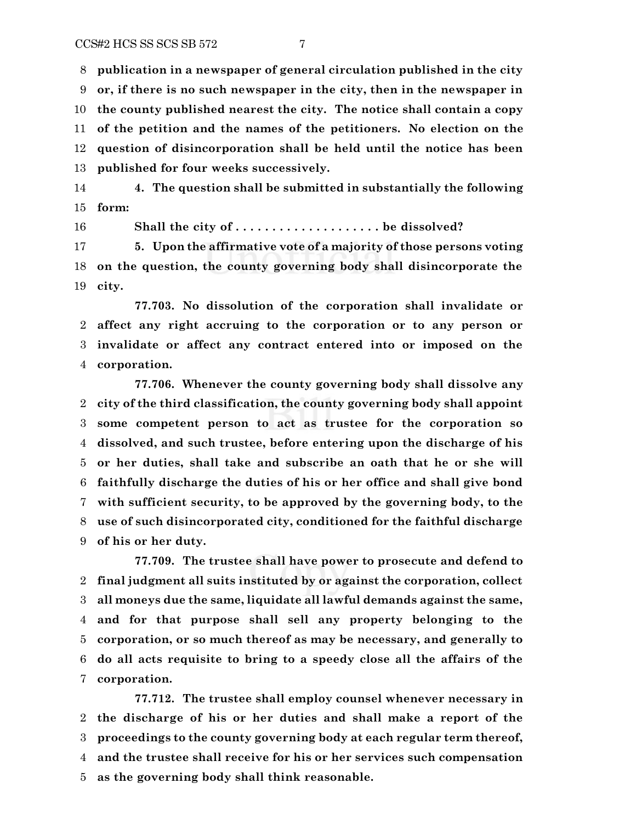**publication in a newspaper of general circulation published in the city or, if there is no such newspaper in the city, then in the newspaper in the county published nearest the city. The notice shall contain a copy of the petition and the names of the petitioners. No election on the question of disincorporation shall be held until the notice has been published for four weeks successively.**

 **4. The question shall be submitted in substantially the following form:**

16 Shall the city of .......................... be dissolved?

 **5. Upon the affirmative vote of a majority of those persons voting on the question, the county governing body shall disincorporate the city.**

**77.703. No dissolution of the corporation shall invalidate or affect any right accruing to the corporation or to any person or invalidate or affect any contract entered into or imposed on the corporation.**

**77.706. Whenever the county governing body shall dissolve any city of the third classification, the county governing body shall appoint some competent person to act as trustee for the corporation so dissolved, and such trustee, before entering upon the discharge of his or her duties, shall take and subscribe an oath that he or she will faithfully discharge the duties of his or her office and shall give bond with sufficient security, to be approved by the governing body, to the use of such disincorporated city, conditioned for the faithful discharge of his or her duty.**

**77.709. The trustee shall have power to prosecute and defend to final judgment all suits instituted by or against the corporation, collect all moneys due the same, liquidate all lawful demands against the same, and for that purpose shall sell any property belonging to the corporation, or so much thereof as may be necessary, and generally to do all acts requisite to bring to a speedy close all the affairs of the corporation.**

**77.712. The trustee shall employ counsel whenever necessary in the discharge of his or her duties and shall make a report of the proceedings to the county governing body at each regular term thereof, and the trustee shall receive for his or her services such compensation as the governing body shall think reasonable.**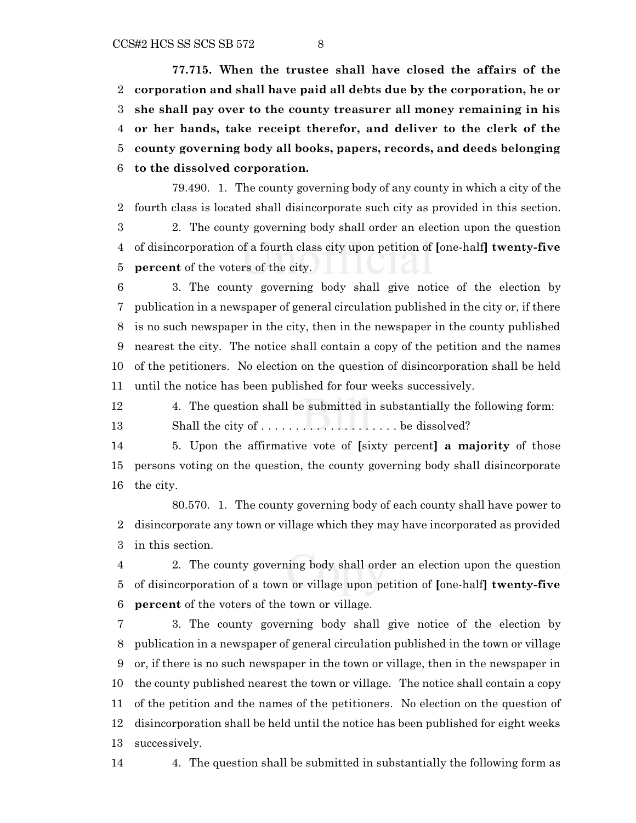$CCSH2 HCS SS SCS SB 572$  8

**77.715. When the trustee shall have closed the affairs of the corporation and shall have paid all debts due by the corporation, he or she shall pay over to the county treasurer all money remaining in his or her hands, take receipt therefor, and deliver to the clerk of the county governing body all books, papers, records, and deeds belonging to the dissolved corporation.**

79.490. 1. The county governing body of any county in which a city of the fourth class is located shall disincorporate such city as provided in this section. 2. The county governing body shall order an election upon the question of disincorporation of a fourth class city upon petition of **[**one-half**] twenty-five percent** of the voters of the city.

 3. The county governing body shall give notice of the election by publication in a newspaper of general circulation published in the city or, if there is no such newspaper in the city, then in the newspaper in the county published nearest the city. The notice shall contain a copy of the petition and the names of the petitioners. No election on the question of disincorporation shall be held until the notice has been published for four weeks successively.

4. The question shall be submitted in substantially the following form:

Shall the city of . . . . . . . . . . . . . . . . . . . . be dissolved?

 5. Upon the affirmative vote of **[**sixty percent**] a majority** of those persons voting on the question, the county governing body shall disincorporate the city.

80.570. 1. The county governing body of each county shall have power to disincorporate any town or village which they may have incorporated as provided in this section.

 2. The county governing body shall order an election upon the question of disincorporation of a town or village upon petition of **[**one-half**] twenty-five percent** of the voters of the town or village.

 3. The county governing body shall give notice of the election by publication in a newspaper of general circulation published in the town or village or, if there is no such newspaper in the town or village, then in the newspaper in the county published nearest the town or village. The notice shall contain a copy of the petition and the names of the petitioners. No election on the question of disincorporation shall be held until the notice has been published for eight weeks successively.

4. The question shall be submitted in substantially the following form as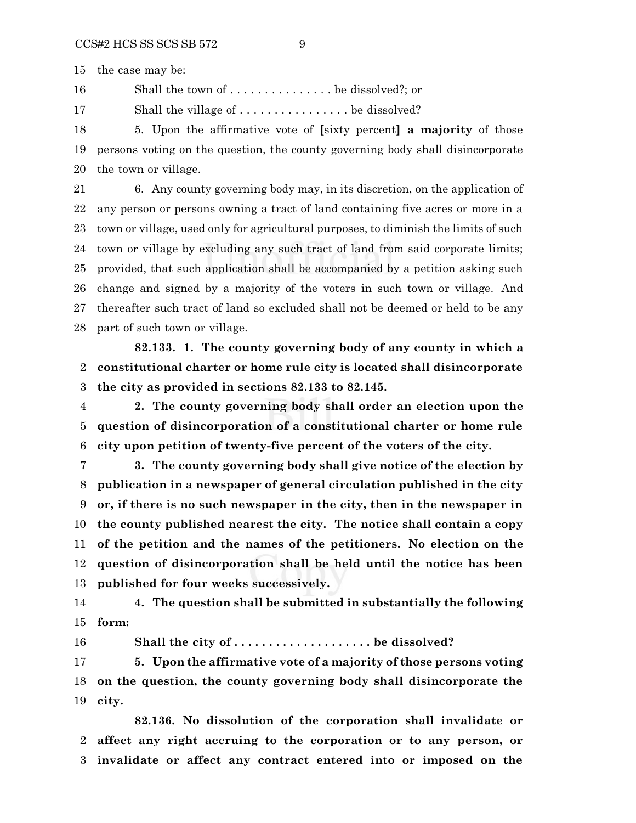the case may be:

Shall the town of . . . . . . . . . . . . . . . be dissolved?; or

17 Shall the village of . . . . . . . . . . . . . . . . be dissolved?

 5. Upon the affirmative vote of **[**sixty percent**] a majority** of those persons voting on the question, the county governing body shall disincorporate the town or village.

 6. Any county governing body may, in its discretion, on the application of any person or persons owning a tract of land containing five acres or more in a town or village, used only for agricultural purposes, to diminish the limits of such town or village by excluding any such tract of land from said corporate limits; provided, that such application shall be accompanied by a petition asking such change and signed by a majority of the voters in such town or village. And thereafter such tract of land so excluded shall not be deemed or held to be any part of such town or village.

**82.133. 1. The county governing body of any county in which a constitutional charter or home rule city is located shall disincorporate the city as provided in sections 82.133 to 82.145.**

 **2. The county governing body shall order an election upon the question of disincorporation of a constitutional charter or home rule city upon petition of twenty-five percent of the voters of the city.**

 **3. The county governing body shall give notice of the election by publication in a newspaper of general circulation published in the city or, if there is no such newspaper in the city, then in the newspaper in the county published nearest the city. The notice shall contain a copy of the petition and the names of the petitioners. No election on the question of disincorporation shall be held until the notice has been published for four weeks successively.**

 **4. The question shall be submitted in substantially the following form:**

16 Shall the city of ........................... be dissolved?

 **5. Upon the affirmative vote of a majority of those persons voting on the question, the county governing body shall disincorporate the city.**

**82.136. No dissolution of the corporation shall invalidate or affect any right accruing to the corporation or to any person, or invalidate or affect any contract entered into or imposed on the**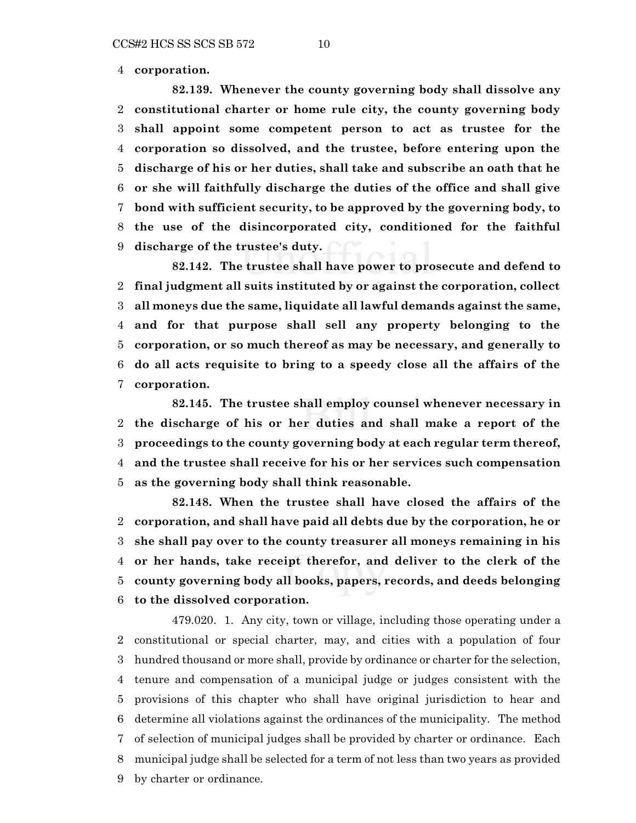**corporation.**

**82.139. Whenever the county governing body shall dissolve any constitutional charter or home rule city, the county governing body shall appoint some competent person to act as trustee for the corporation so dissolved, and the trustee, before entering upon the discharge of his or her duties, shall take and subscribe an oath that he or she will faithfully discharge the duties of the office and shall give bond with sufficient security, to be approved by the governing body, to the use of the disincorporated city, conditioned for the faithful discharge of the trustee's duty.**

**82.142. The trustee shall have power to prosecute and defend to final judgment all suits instituted by or against the corporation, collect all moneys due the same, liquidate all lawful demands against the same, and for that purpose shall sell any property belonging to the corporation, or so much thereof as may be necessary, and generally to do all acts requisite to bring to a speedy close all the affairs of the corporation.**

**82.145. The trustee shall employ counsel whenever necessary in the discharge of his or her duties and shall make a report of the proceedings to the county governing body at each regular term thereof, and the trustee shall receive for his or her services such compensation as the governing body shall think reasonable.**

**82.148. When the trustee shall have closed the affairs of the corporation, and shall have paid all debts due by the corporation, he or she shall pay over to the county treasurer all moneys remaining in his or her hands, take receipt therefor, and deliver to the clerk of the county governing body all books, papers, records, and deeds belonging to the dissolved corporation.**

479.020. 1. Any city, town or village, including those operating under a constitutional or special charter, may, and cities with a population of four hundred thousand or more shall, provide by ordinance or charter for the selection, tenure and compensation of a municipal judge or judges consistent with the provisions of this chapter who shall have original jurisdiction to hear and determine all violations against the ordinances of the municipality. The method of selection of municipal judges shall be provided by charter or ordinance. Each municipal judge shall be selected for a term of not less than two years as provided by charter or ordinance.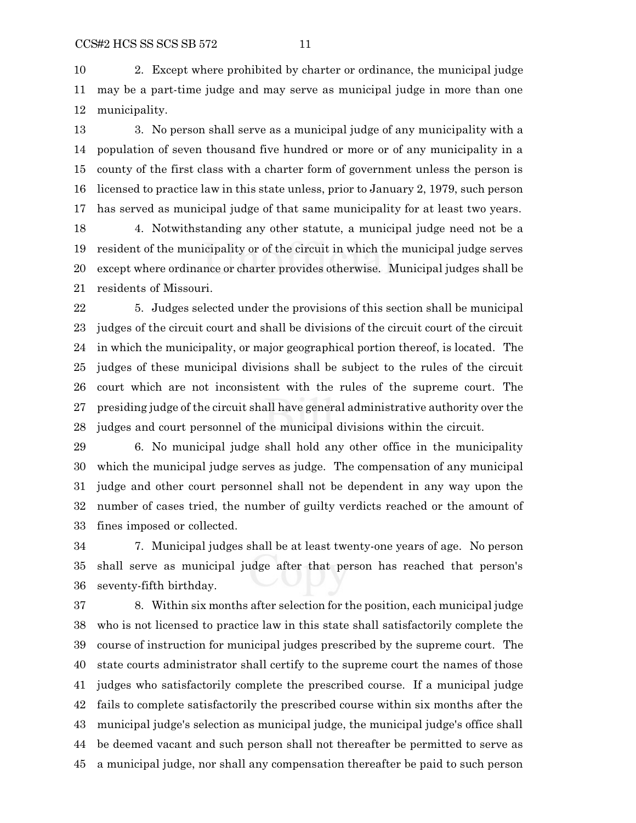2. Except where prohibited by charter or ordinance, the municipal judge may be a part-time judge and may serve as municipal judge in more than one municipality.

 3. No person shall serve as a municipal judge of any municipality with a population of seven thousand five hundred or more or of any municipality in a county of the first class with a charter form of government unless the person is licensed to practice law in this state unless, prior to January 2, 1979, such person has served as municipal judge of that same municipality for at least two years.

 4. Notwithstanding any other statute, a municipal judge need not be a resident of the municipality or of the circuit in which the municipal judge serves except where ordinance or charter provides otherwise. Municipal judges shall be residents of Missouri.

 5. Judges selected under the provisions of this section shall be municipal judges of the circuit court and shall be divisions of the circuit court of the circuit in which the municipality, or major geographical portion thereof, is located. The judges of these municipal divisions shall be subject to the rules of the circuit court which are not inconsistent with the rules of the supreme court. The presiding judge of the circuit shall have general administrative authority over the judges and court personnel of the municipal divisions within the circuit.

 6. No municipal judge shall hold any other office in the municipality which the municipal judge serves as judge. The compensation of any municipal judge and other court personnel shall not be dependent in any way upon the number of cases tried, the number of guilty verdicts reached or the amount of fines imposed or collected.

 7. Municipal judges shall be at least twenty-one years of age. No person shall serve as municipal judge after that person has reached that person's seventy-fifth birthday.

 8. Within six months after selection for the position, each municipal judge who is not licensed to practice law in this state shall satisfactorily complete the course of instruction for municipal judges prescribed by the supreme court. The state courts administrator shall certify to the supreme court the names of those judges who satisfactorily complete the prescribed course. If a municipal judge fails to complete satisfactorily the prescribed course within six months after the municipal judge's selection as municipal judge, the municipal judge's office shall be deemed vacant and such person shall not thereafter be permitted to serve as a municipal judge, nor shall any compensation thereafter be paid to such person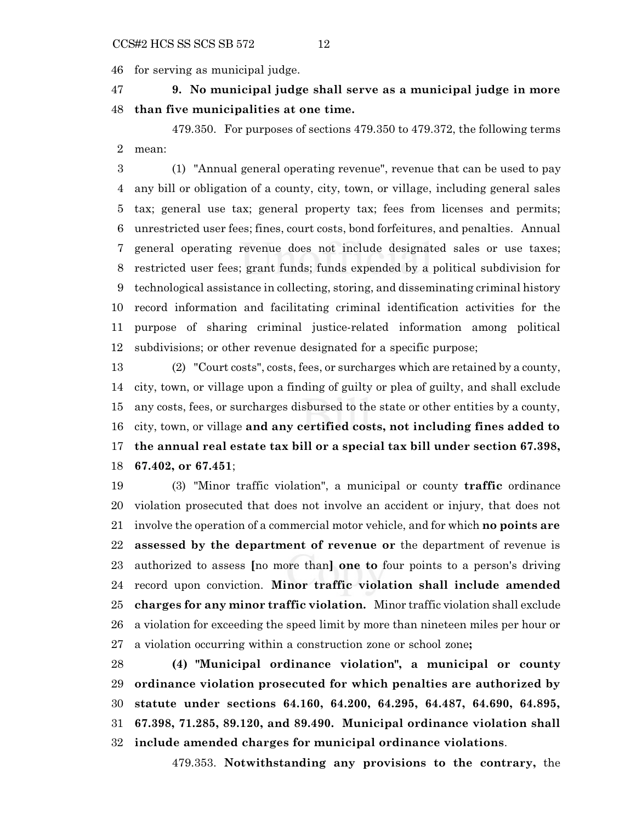for serving as municipal judge.

 **9. No municipal judge shall serve as a municipal judge in more than five municipalities at one time.**

479.350. For purposes of sections 479.350 to 479.372, the following terms mean:

 (1) "Annual general operating revenue", revenue that can be used to pay any bill or obligation of a county, city, town, or village, including general sales tax; general use tax; general property tax; fees from licenses and permits; unrestricted user fees; fines, court costs, bond forfeitures, and penalties. Annual general operating revenue does not include designated sales or use taxes; restricted user fees; grant funds; funds expended by a political subdivision for technological assistance in collecting, storing, and disseminating criminal history record information and facilitating criminal identification activities for the purpose of sharing criminal justice-related information among political subdivisions; or other revenue designated for a specific purpose;

 (2) "Court costs", costs, fees, or surcharges which are retained by a county, city, town, or village upon a finding of guilty or plea of guilty, and shall exclude any costs, fees, or surcharges disbursed to the state or other entities by a county, city, town, or village **and any certified costs, not including fines added to the annual real estate tax bill or a special tax bill under section 67.398, 67.402, or 67.451**;

 (3) "Minor traffic violation", a municipal or county **traffic** ordinance violation prosecuted that does not involve an accident or injury, that does not involve the operation of a commercial motor vehicle, and for which **no points are assessed by the department of revenue or** the department of revenue is authorized to assess **[**no more than**] one to** four points to a person's driving record upon conviction. **Minor traffic violation shall include amended charges for any minor traffic violation.** Minor traffic violation shall exclude a violation for exceeding the speed limit by more than nineteen miles per hour or a violation occurring within a construction zone or school zone**;**

 **(4) "Municipal ordinance violation", a municipal or county ordinance violation prosecuted for which penalties are authorized by statute under sections 64.160, 64.200, 64.295, 64.487, 64.690, 64.895, 67.398, 71.285, 89.120, and 89.490. Municipal ordinance violation shall include amended charges for municipal ordinance violations**.

479.353. **Notwithstanding any provisions to the contrary,** the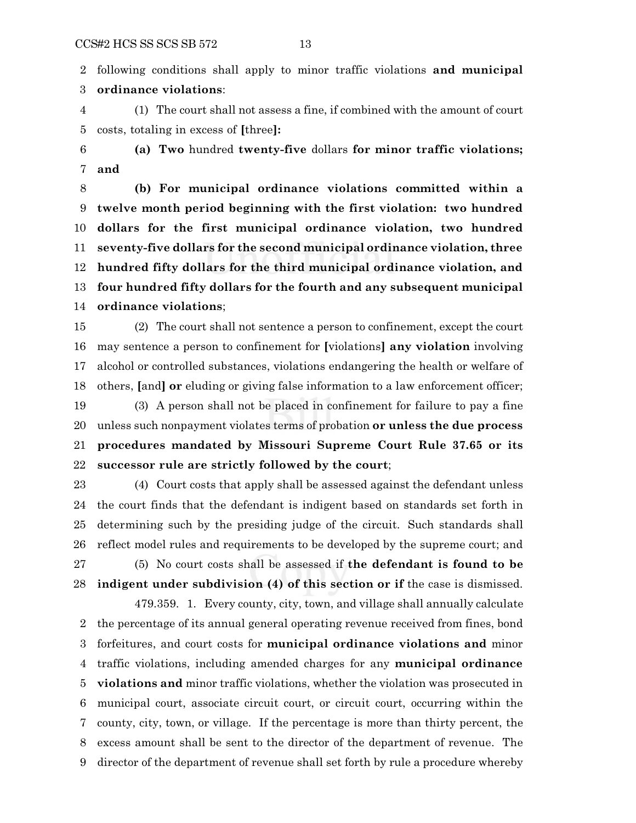following conditions shall apply to minor traffic violations **and municipal ordinance violations**:

 (1) The court shall not assess a fine, if combined with the amount of court costs, totaling in excess of **[**three**]:**

 **(a) Two** hundred **twenty-five** dollars **for minor traffic violations; and**

 **(b) For municipal ordinance violations committed within a twelve month period beginning with the first violation: two hundred dollars for the first municipal ordinance violation, two hundred seventy-five dollars for the second municipal ordinance violation, three hundred fifty dollars for the third municipal ordinance violation, and four hundred fifty dollars for the fourth and any subsequent municipal ordinance violations**;

 (2) The court shall not sentence a person to confinement, except the court may sentence a person to confinement for **[**violations**] any violation** involving alcohol or controlled substances, violations endangering the health or welfare of others, **[**and**] or** eluding or giving false information to a law enforcement officer;

 (3) A person shall not be placed in confinement for failure to pay a fine unless such nonpayment violates terms of probation **or unless the due process procedures mandated by Missouri Supreme Court Rule 37.65 or its successor rule are strictly followed by the court**;

 (4) Court costs that apply shall be assessed against the defendant unless the court finds that the defendant is indigent based on standards set forth in determining such by the presiding judge of the circuit. Such standards shall reflect model rules and requirements to be developed by the supreme court; and (5) No court costs shall be assessed if **the defendant is found to be indigent under subdivision (4) of this section or if** the case is dismissed.

479.359. 1. Every county, city, town, and village shall annually calculate the percentage of its annual general operating revenue received from fines, bond forfeitures, and court costs for **municipal ordinance violations and** minor traffic violations, including amended charges for any **municipal ordinance violations and** minor traffic violations, whether the violation was prosecuted in municipal court, associate circuit court, or circuit court, occurring within the county, city, town, or village. If the percentage is more than thirty percent, the excess amount shall be sent to the director of the department of revenue. The director of the department of revenue shall set forth by rule a procedure whereby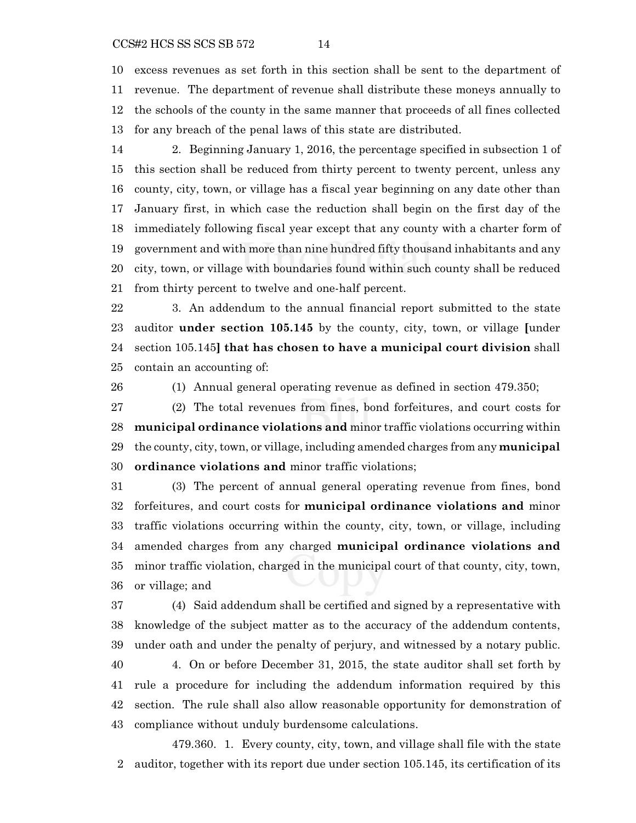### CCS#2 HCS SS SCS SB 572 14

 excess revenues as set forth in this section shall be sent to the department of revenue. The department of revenue shall distribute these moneys annually to the schools of the county in the same manner that proceeds of all fines collected for any breach of the penal laws of this state are distributed.

 2. Beginning January 1, 2016, the percentage specified in subsection 1 of this section shall be reduced from thirty percent to twenty percent, unless any county, city, town, or village has a fiscal year beginning on any date other than January first, in which case the reduction shall begin on the first day of the immediately following fiscal year except that any county with a charter form of government and with more than nine hundred fifty thousand inhabitants and any city, town, or village with boundaries found within such county shall be reduced from thirty percent to twelve and one-half percent.

 3. An addendum to the annual financial report submitted to the state auditor **under section 105.145** by the county, city, town, or village **[**under section 105.145**] that has chosen to have a municipal court division** shall contain an accounting of:

(1) Annual general operating revenue as defined in section 479.350;

 (2) The total revenues from fines, bond forfeitures, and court costs for **municipal ordinance violations and** minor traffic violations occurring within the county, city, town, or village, including amended charges from any **municipal ordinance violations and** minor traffic violations;

 (3) The percent of annual general operating revenue from fines, bond forfeitures, and court costs for **municipal ordinance violations and** minor traffic violations occurring within the county, city, town, or village, including amended charges from any charged **municipal ordinance violations and** minor traffic violation, charged in the municipal court of that county, city, town, or village; and

 (4) Said addendum shall be certified and signed by a representative with knowledge of the subject matter as to the accuracy of the addendum contents, under oath and under the penalty of perjury, and witnessed by a notary public. 4. On or before December 31, 2015, the state auditor shall set forth by rule a procedure for including the addendum information required by this section. The rule shall also allow reasonable opportunity for demonstration of

479.360. 1. Every county, city, town, and village shall file with the state auditor, together with its report due under section 105.145, its certification of its

compliance without unduly burdensome calculations.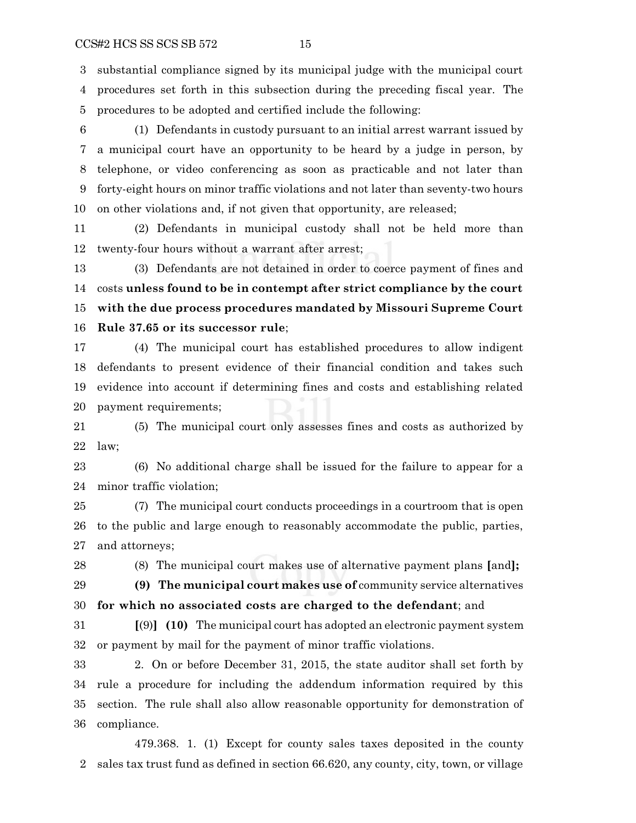substantial compliance signed by its municipal judge with the municipal court procedures set forth in this subsection during the preceding fiscal year. The procedures to be adopted and certified include the following:

 (1) Defendants in custody pursuant to an initial arrest warrant issued by a municipal court have an opportunity to be heard by a judge in person, by telephone, or video conferencing as soon as practicable and not later than forty-eight hours on minor traffic violations and not later than seventy-two hours on other violations and, if not given that opportunity, are released;

 (2) Defendants in municipal custody shall not be held more than twenty-four hours without a warrant after arrest;

 (3) Defendants are not detained in order to coerce payment of fines and costs **unless found to be in contempt after strict compliance by the court with the due process procedures mandated by Missouri Supreme Court Rule 37.65 or its successor rule**;

 (4) The municipal court has established procedures to allow indigent defendants to present evidence of their financial condition and takes such evidence into account if determining fines and costs and establishing related payment requirements;

 (5) The municipal court only assesses fines and costs as authorized by law;

 (6) No additional charge shall be issued for the failure to appear for a minor traffic violation;

 (7) The municipal court conducts proceedings in a courtroom that is open to the public and large enough to reasonably accommodate the public, parties, and attorneys;

(8) The municipal court makes use of alternative payment plans **[**and**];**

 **(9) The municipal court makes use of** community service alternatives **for which no associated costs are charged to the defendant**; and

 **[**(9)**] (10)** The municipal court has adopted an electronic payment system or payment by mail for the payment of minor traffic violations.

 2. On or before December 31, 2015, the state auditor shall set forth by rule a procedure for including the addendum information required by this section. The rule shall also allow reasonable opportunity for demonstration of compliance.

479.368. 1. (1) Except for county sales taxes deposited in the county sales tax trust fund as defined in section 66.620, any county, city, town, or village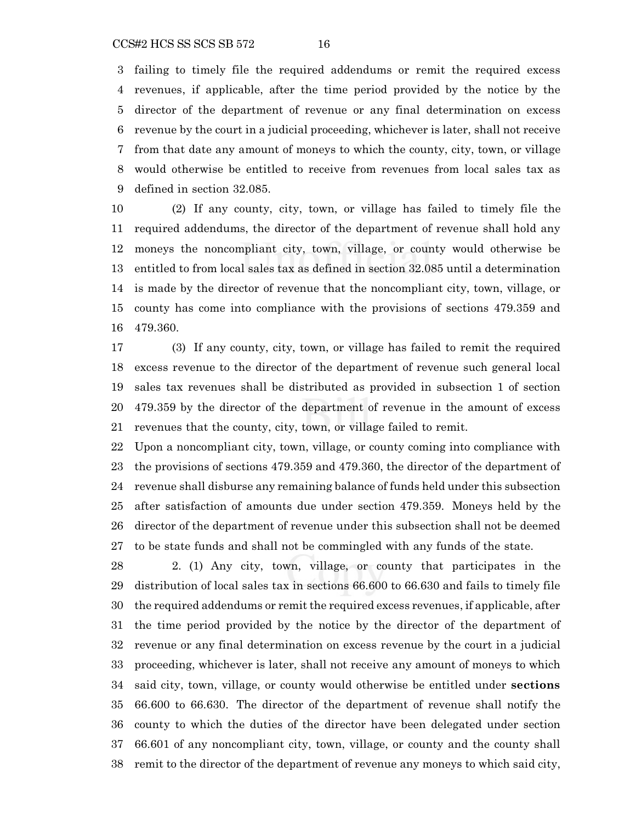### CCS#2 HCS SS SCS SB 572 16

 failing to timely file the required addendums or remit the required excess revenues, if applicable, after the time period provided by the notice by the director of the department of revenue or any final determination on excess revenue by the court in a judicial proceeding, whichever is later, shall not receive from that date any amount of moneys to which the county, city, town, or village would otherwise be entitled to receive from revenues from local sales tax as defined in section 32.085.

 (2) If any county, city, town, or village has failed to timely file the required addendums, the director of the department of revenue shall hold any moneys the noncompliant city, town, village, or county would otherwise be entitled to from local sales tax as defined in section 32.085 until a determination is made by the director of revenue that the noncompliant city, town, village, or county has come into compliance with the provisions of sections 479.359 and 479.360.

 (3) If any county, city, town, or village has failed to remit the required excess revenue to the director of the department of revenue such general local sales tax revenues shall be distributed as provided in subsection 1 of section 479.359 by the director of the department of revenue in the amount of excess revenues that the county, city, town, or village failed to remit.

 Upon a noncompliant city, town, village, or county coming into compliance with the provisions of sections 479.359 and 479.360, the director of the department of revenue shall disburse any remaining balance of funds held under this subsection after satisfaction of amounts due under section 479.359. Moneys held by the director of the department of revenue under this subsection shall not be deemed to be state funds and shall not be commingled with any funds of the state.

 2. (1) Any city, town, village, or county that participates in the distribution of local sales tax in sections 66.600 to 66.630 and fails to timely file the required addendums or remit the required excess revenues, if applicable, after the time period provided by the notice by the director of the department of revenue or any final determination on excess revenue by the court in a judicial proceeding, whichever is later, shall not receive any amount of moneys to which said city, town, village, or county would otherwise be entitled under **sections** 66.600 to 66.630. The director of the department of revenue shall notify the county to which the duties of the director have been delegated under section 66.601 of any noncompliant city, town, village, or county and the county shall remit to the director of the department of revenue any moneys to which said city,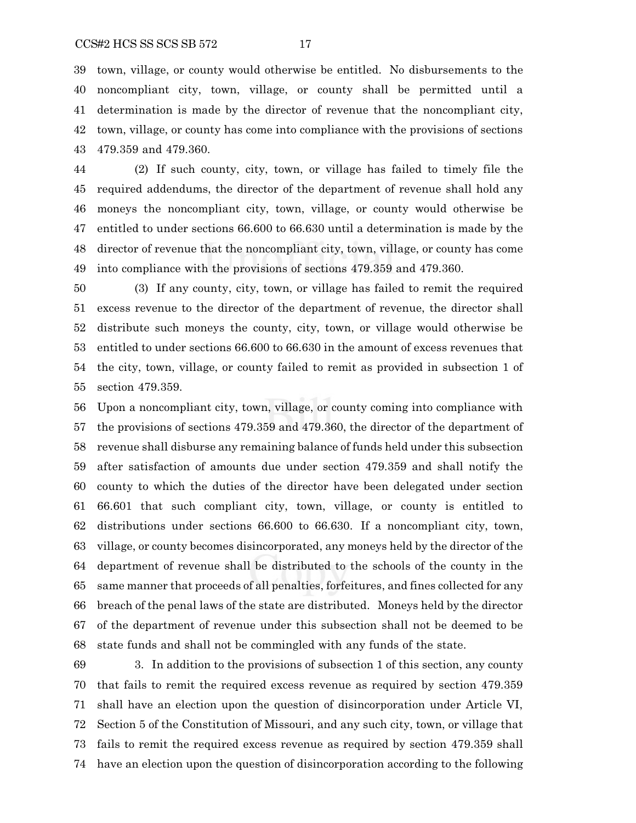town, village, or county would otherwise be entitled. No disbursements to the noncompliant city, town, village, or county shall be permitted until a determination is made by the director of revenue that the noncompliant city, town, village, or county has come into compliance with the provisions of sections 479.359 and 479.360.

 (2) If such county, city, town, or village has failed to timely file the required addendums, the director of the department of revenue shall hold any moneys the noncompliant city, town, village, or county would otherwise be entitled to under sections 66.600 to 66.630 until a determination is made by the director of revenue that the noncompliant city, town, village, or county has come into compliance with the provisions of sections 479.359 and 479.360.

 (3) If any county, city, town, or village has failed to remit the required excess revenue to the director of the department of revenue, the director shall distribute such moneys the county, city, town, or village would otherwise be entitled to under sections 66.600 to 66.630 in the amount of excess revenues that the city, town, village, or county failed to remit as provided in subsection 1 of section 479.359.

 Upon a noncompliant city, town, village, or county coming into compliance with the provisions of sections 479.359 and 479.360, the director of the department of revenue shall disburse any remaining balance of funds held under this subsection after satisfaction of amounts due under section 479.359 and shall notify the county to which the duties of the director have been delegated under section 66.601 that such compliant city, town, village, or county is entitled to distributions under sections 66.600 to 66.630. If a noncompliant city, town, village, or county becomes disincorporated, any moneys held by the director of the department of revenue shall be distributed to the schools of the county in the same manner that proceeds of all penalties, forfeitures, and fines collected for any breach of the penal laws of the state are distributed. Moneys held by the director of the department of revenue under this subsection shall not be deemed to be state funds and shall not be commingled with any funds of the state.

 3. In addition to the provisions of subsection 1 of this section, any county that fails to remit the required excess revenue as required by section 479.359 shall have an election upon the question of disincorporation under Article VI, Section 5 of the Constitution of Missouri, and any such city, town, or village that fails to remit the required excess revenue as required by section 479.359 shall have an election upon the question of disincorporation according to the following